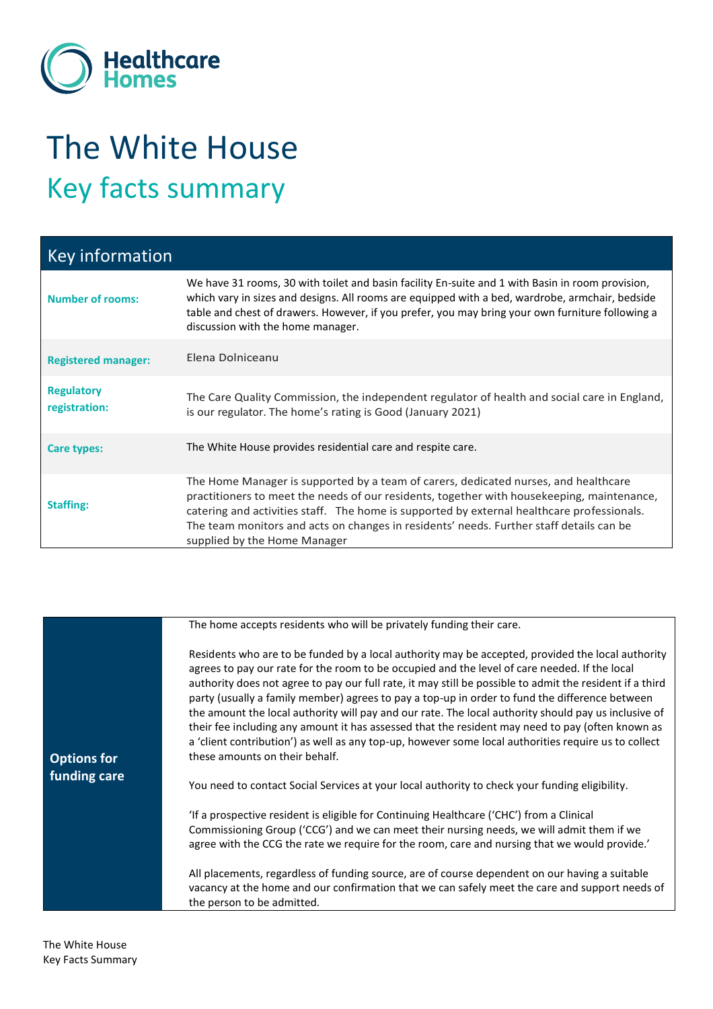

## The White House Key facts summary

| <b>Key information</b>             |                                                                                                                                                                                                                                                                                                                                                                                                            |
|------------------------------------|------------------------------------------------------------------------------------------------------------------------------------------------------------------------------------------------------------------------------------------------------------------------------------------------------------------------------------------------------------------------------------------------------------|
| <b>Number of rooms:</b>            | We have 31 rooms, 30 with toilet and basin facility En-suite and 1 with Basin in room provision,<br>which vary in sizes and designs. All rooms are equipped with a bed, wardrobe, armchair, bedside<br>table and chest of drawers. However, if you prefer, you may bring your own furniture following a<br>discussion with the home manager.                                                               |
| <b>Registered manager:</b>         | Elena Dolniceanu                                                                                                                                                                                                                                                                                                                                                                                           |
| <b>Regulatory</b><br>registration: | The Care Quality Commission, the independent regulator of health and social care in England,<br>is our regulator. The home's rating is Good (January 2021)                                                                                                                                                                                                                                                 |
| Care types:                        | The White House provides residential care and respite care.                                                                                                                                                                                                                                                                                                                                                |
| <b>Staffing:</b>                   | The Home Manager is supported by a team of carers, dedicated nurses, and healthcare<br>practitioners to meet the needs of our residents, together with housekeeping, maintenance,<br>catering and activities staff. The home is supported by external healthcare professionals.<br>The team monitors and acts on changes in residents' needs. Further staff details can be<br>supplied by the Home Manager |

|                                    | The home accepts residents who will be privately funding their care.                                                                                                                                                                                                                                                                                                                                                                                                                                                                                                                                                                                                                                                                                                   |
|------------------------------------|------------------------------------------------------------------------------------------------------------------------------------------------------------------------------------------------------------------------------------------------------------------------------------------------------------------------------------------------------------------------------------------------------------------------------------------------------------------------------------------------------------------------------------------------------------------------------------------------------------------------------------------------------------------------------------------------------------------------------------------------------------------------|
| <b>Options for</b><br>funding care | Residents who are to be funded by a local authority may be accepted, provided the local authority<br>agrees to pay our rate for the room to be occupied and the level of care needed. If the local<br>authority does not agree to pay our full rate, it may still be possible to admit the resident if a third<br>party (usually a family member) agrees to pay a top-up in order to fund the difference between<br>the amount the local authority will pay and our rate. The local authority should pay us inclusive of<br>their fee including any amount it has assessed that the resident may need to pay (often known as<br>a 'client contribution') as well as any top-up, however some local authorities require us to collect<br>these amounts on their behalf. |
|                                    | You need to contact Social Services at your local authority to check your funding eligibility.                                                                                                                                                                                                                                                                                                                                                                                                                                                                                                                                                                                                                                                                         |
|                                    | 'If a prospective resident is eligible for Continuing Healthcare ('CHC') from a Clinical<br>Commissioning Group ('CCG') and we can meet their nursing needs, we will admit them if we<br>agree with the CCG the rate we require for the room, care and nursing that we would provide.'                                                                                                                                                                                                                                                                                                                                                                                                                                                                                 |
|                                    | All placements, regardless of funding source, are of course dependent on our having a suitable<br>vacancy at the home and our confirmation that we can safely meet the care and support needs of<br>the person to be admitted.                                                                                                                                                                                                                                                                                                                                                                                                                                                                                                                                         |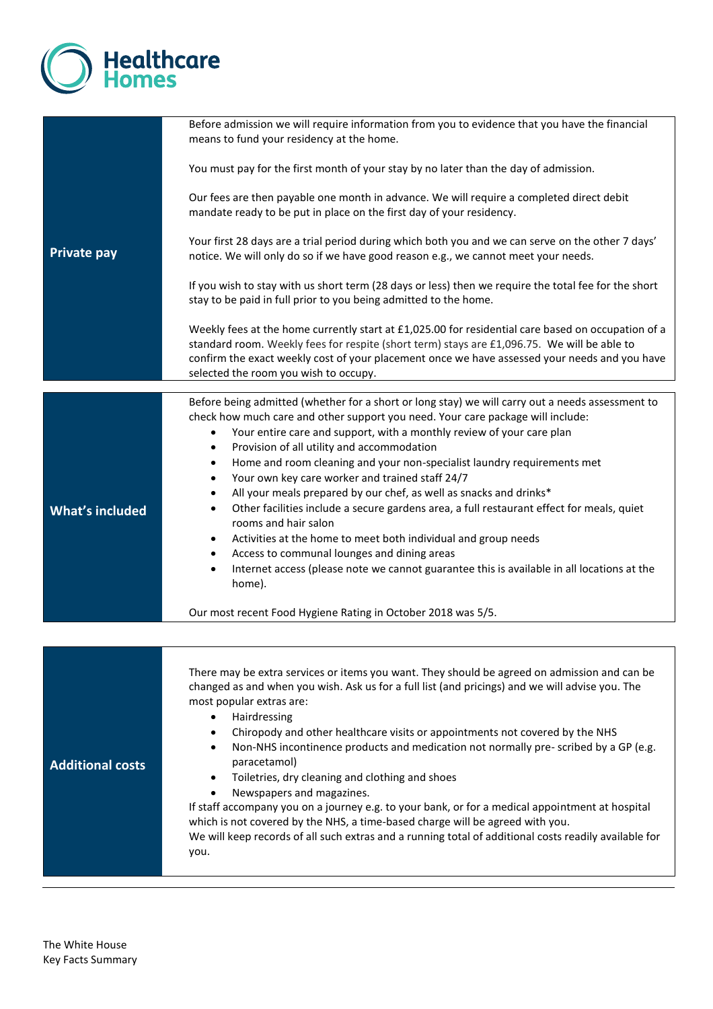

|                         | Before admission we will require information from you to evidence that you have the financial<br>means to fund your residency at the home.                                                                                                                                                                                                  |
|-------------------------|---------------------------------------------------------------------------------------------------------------------------------------------------------------------------------------------------------------------------------------------------------------------------------------------------------------------------------------------|
|                         | You must pay for the first month of your stay by no later than the day of admission.                                                                                                                                                                                                                                                        |
|                         | Our fees are then payable one month in advance. We will require a completed direct debit<br>mandate ready to be put in place on the first day of your residency.                                                                                                                                                                            |
| <b>Private pay</b>      | Your first 28 days are a trial period during which both you and we can serve on the other 7 days'<br>notice. We will only do so if we have good reason e.g., we cannot meet your needs.                                                                                                                                                     |
|                         | If you wish to stay with us short term (28 days or less) then we require the total fee for the short<br>stay to be paid in full prior to you being admitted to the home.                                                                                                                                                                    |
|                         | Weekly fees at the home currently start at £1,025.00 for residential care based on occupation of a<br>standard room. Weekly fees for respite (short term) stays are £1,096.75. We will be able to<br>confirm the exact weekly cost of your placement once we have assessed your needs and you have<br>selected the room you wish to occupy. |
|                         |                                                                                                                                                                                                                                                                                                                                             |
|                         | Before being admitted (whether for a short or long stay) we will carry out a needs assessment to<br>check how much care and other support you need. Your care package will include:<br>Your entire care and support, with a monthly review of your care plan<br>$\bullet$<br>Provision of all utility and accommodation<br>$\bullet$        |
|                         | Home and room cleaning and your non-specialist laundry requirements met<br>$\bullet$                                                                                                                                                                                                                                                        |
|                         | Your own key care worker and trained staff 24/7<br>$\bullet$                                                                                                                                                                                                                                                                                |
|                         | All your meals prepared by our chef, as well as snacks and drinks*<br>$\bullet$                                                                                                                                                                                                                                                             |
| <b>What's included</b>  | Other facilities include a secure gardens area, a full restaurant effect for meals, quiet<br>٠<br>rooms and hair salon                                                                                                                                                                                                                      |
|                         | Activities at the home to meet both individual and group needs<br>$\bullet$                                                                                                                                                                                                                                                                 |
|                         | Access to communal lounges and dining areas<br>٠                                                                                                                                                                                                                                                                                            |
|                         | Internet access (please note we cannot guarantee this is available in all locations at the<br>٠<br>home).                                                                                                                                                                                                                                   |
|                         | Our most recent Food Hygiene Rating in October 2018 was 5/5.                                                                                                                                                                                                                                                                                |
|                         |                                                                                                                                                                                                                                                                                                                                             |
|                         |                                                                                                                                                                                                                                                                                                                                             |
|                         | There may be extra services or items you want. They should be agreed on admission and can be                                                                                                                                                                                                                                                |
|                         | changed as and when you wish. Ask us for a full list (and pricings) and we will advise you. The<br>most popular extras are:                                                                                                                                                                                                                 |
|                         | Hairdressing<br>$\bullet$                                                                                                                                                                                                                                                                                                                   |
|                         | Chiropody and other healthcare visits or appointments not covered by the NHS<br>٠                                                                                                                                                                                                                                                           |
|                         | Non-NHS incontinence products and medication not normally pre-scribed by a GP (e.g.<br>٠                                                                                                                                                                                                                                                    |
| <b>Additional costs</b> | paracetamol)<br>Toiletries, dry cleaning and clothing and shoes<br>$\bullet$                                                                                                                                                                                                                                                                |
|                         | Newspapers and magazines.<br>$\bullet$                                                                                                                                                                                                                                                                                                      |
|                         | If staff accompany you on a journey e.g. to your bank, or for a medical appointment at hospital                                                                                                                                                                                                                                             |
|                         | which is not covered by the NHS, a time-based charge will be agreed with you.                                                                                                                                                                                                                                                               |
|                         | We will keep records of all such extras and a running total of additional costs readily available for<br>you.                                                                                                                                                                                                                               |
|                         |                                                                                                                                                                                                                                                                                                                                             |
|                         |                                                                                                                                                                                                                                                                                                                                             |